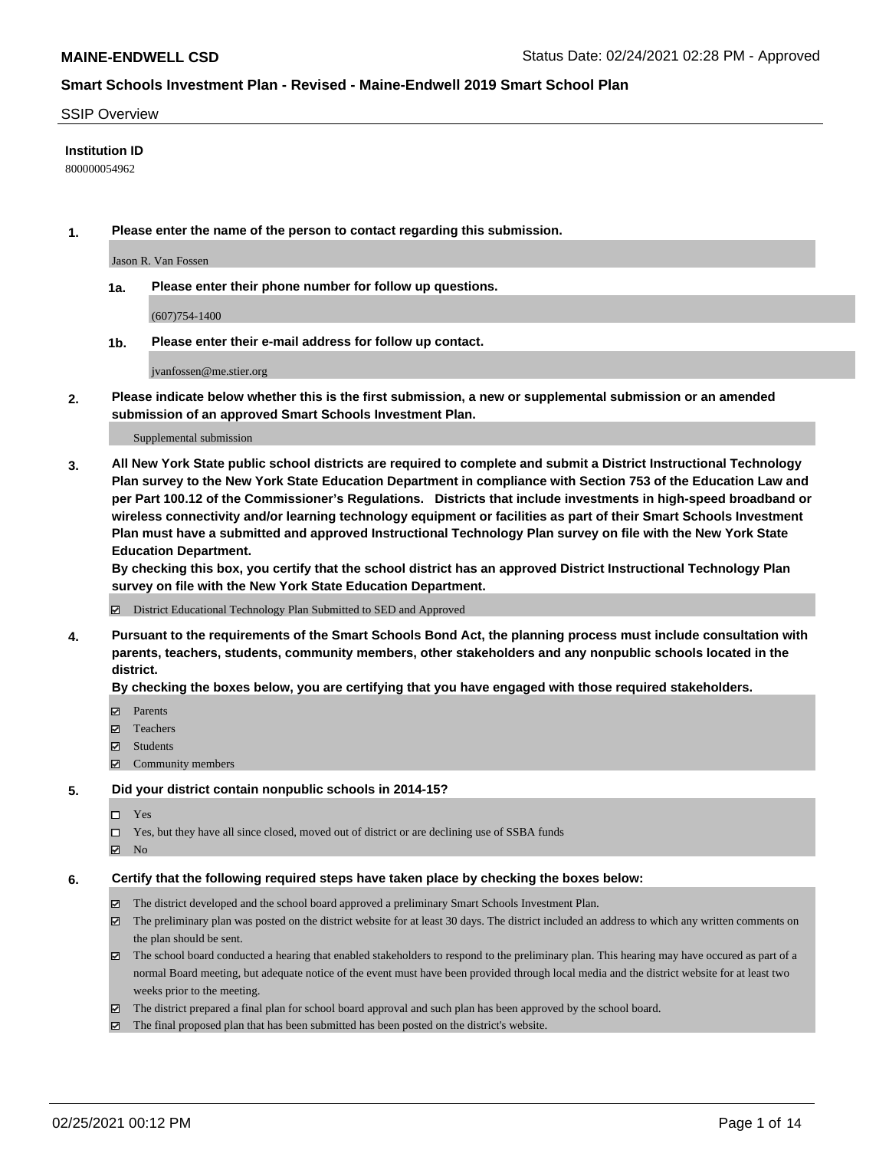#### SSIP Overview

## **Institution ID**

800000054962

**1. Please enter the name of the person to contact regarding this submission.**

Jason R. Van Fossen

**1a. Please enter their phone number for follow up questions.**

(607)754-1400

**1b. Please enter their e-mail address for follow up contact.**

jvanfossen@me.stier.org

**2. Please indicate below whether this is the first submission, a new or supplemental submission or an amended submission of an approved Smart Schools Investment Plan.**

#### Supplemental submission

**3. All New York State public school districts are required to complete and submit a District Instructional Technology Plan survey to the New York State Education Department in compliance with Section 753 of the Education Law and per Part 100.12 of the Commissioner's Regulations. Districts that include investments in high-speed broadband or wireless connectivity and/or learning technology equipment or facilities as part of their Smart Schools Investment Plan must have a submitted and approved Instructional Technology Plan survey on file with the New York State Education Department.** 

**By checking this box, you certify that the school district has an approved District Instructional Technology Plan survey on file with the New York State Education Department.**

District Educational Technology Plan Submitted to SED and Approved

**4. Pursuant to the requirements of the Smart Schools Bond Act, the planning process must include consultation with parents, teachers, students, community members, other stakeholders and any nonpublic schools located in the district.** 

#### **By checking the boxes below, you are certifying that you have engaged with those required stakeholders.**

- **Ø** Parents
- Teachers
- Students
- $\Xi$  Community members

#### **5. Did your district contain nonpublic schools in 2014-15?**

- □ Yes
- □ Yes, but they have all since closed, moved out of district or are declining use of SSBA funds
- **Ø** No

#### **6. Certify that the following required steps have taken place by checking the boxes below:**

- The district developed and the school board approved a preliminary Smart Schools Investment Plan.
- The preliminary plan was posted on the district website for at least 30 days. The district included an address to which any written comments on the plan should be sent.
- The school board conducted a hearing that enabled stakeholders to respond to the preliminary plan. This hearing may have occured as part of a normal Board meeting, but adequate notice of the event must have been provided through local media and the district website for at least two weeks prior to the meeting.
- The district prepared a final plan for school board approval and such plan has been approved by the school board.
- $\boxtimes$  The final proposed plan that has been submitted has been posted on the district's website.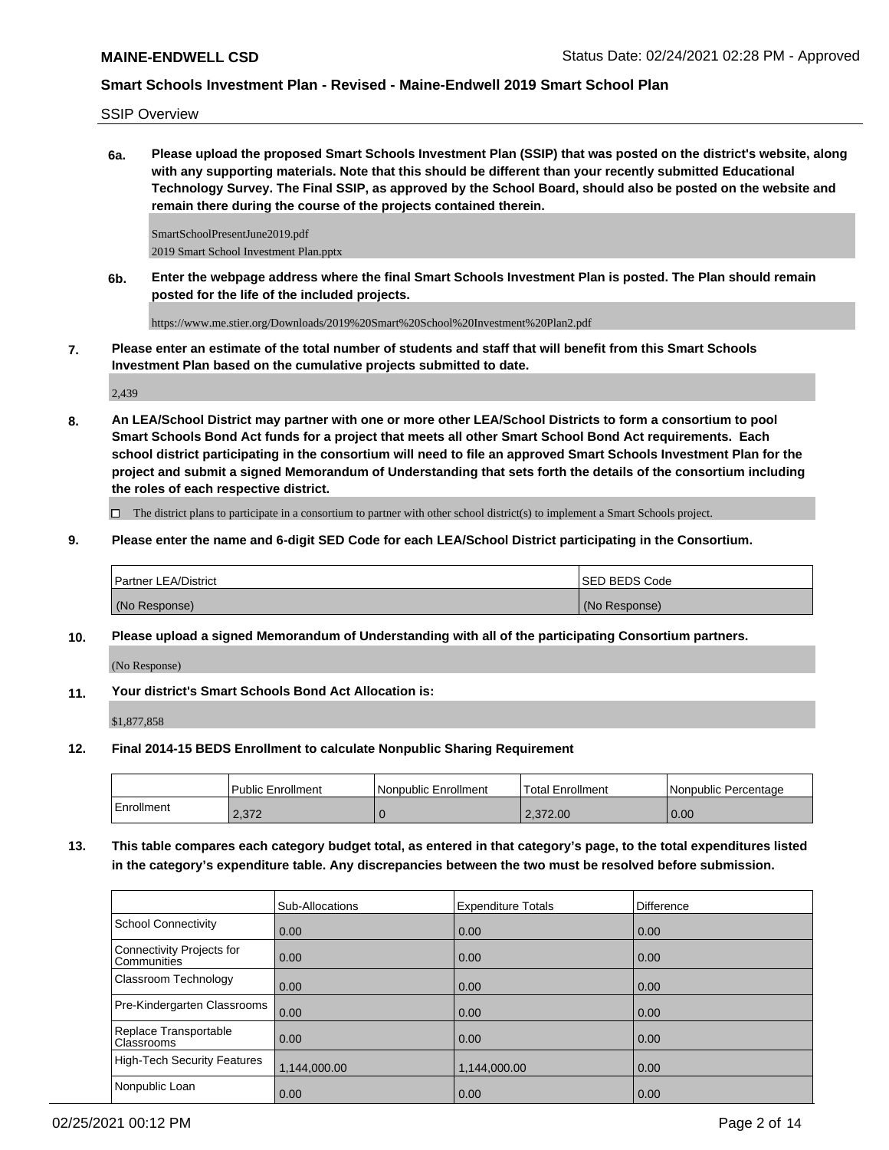SSIP Overview

**6a. Please upload the proposed Smart Schools Investment Plan (SSIP) that was posted on the district's website, along with any supporting materials. Note that this should be different than your recently submitted Educational Technology Survey. The Final SSIP, as approved by the School Board, should also be posted on the website and remain there during the course of the projects contained therein.**

SmartSchoolPresentJune2019.pdf 2019 Smart School Investment Plan.pptx

**6b. Enter the webpage address where the final Smart Schools Investment Plan is posted. The Plan should remain posted for the life of the included projects.**

https://www.me.stier.org/Downloads/2019%20Smart%20School%20Investment%20Plan2.pdf

**7. Please enter an estimate of the total number of students and staff that will benefit from this Smart Schools Investment Plan based on the cumulative projects submitted to date.**

2,439

**8. An LEA/School District may partner with one or more other LEA/School Districts to form a consortium to pool Smart Schools Bond Act funds for a project that meets all other Smart School Bond Act requirements. Each school district participating in the consortium will need to file an approved Smart Schools Investment Plan for the project and submit a signed Memorandum of Understanding that sets forth the details of the consortium including the roles of each respective district.**

 $\Box$  The district plans to participate in a consortium to partner with other school district(s) to implement a Smart Schools project.

**9. Please enter the name and 6-digit SED Code for each LEA/School District participating in the Consortium.**

| <b>Partner LEA/District</b> | <b>ISED BEDS Code</b> |
|-----------------------------|-----------------------|
| (No Response)               | (No Response)         |

**10. Please upload a signed Memorandum of Understanding with all of the participating Consortium partners.**

(No Response)

**11. Your district's Smart Schools Bond Act Allocation is:**

\$1,877,858

**12. Final 2014-15 BEDS Enrollment to calculate Nonpublic Sharing Requirement**

|              | Public Enrollment | Nonpublic Enrollment | 'Total Enrollment | l Nonpublic Percentage |
|--------------|-------------------|----------------------|-------------------|------------------------|
| l Enrollment | 2.372             |                      | 2.372.00          | 0.00                   |

**13. This table compares each category budget total, as entered in that category's page, to the total expenditures listed in the category's expenditure table. Any discrepancies between the two must be resolved before submission.**

|                                                 | Sub-Allocations   | <b>Expenditure Totals</b> | Difference |
|-------------------------------------------------|-------------------|---------------------------|------------|
| School Connectivity                             | 0.00              | 0.00                      | 0.00       |
| Connectivity Projects for<br><b>Communities</b> | 0.00              | 0.00                      | 0.00       |
| Classroom Technology                            | 0.00              | 0.00                      | 0.00       |
| Pre-Kindergarten Classrooms                     | 0.00              | 0.00                      | 0.00       |
| Replace Transportable<br><b>Classrooms</b>      | $\overline{0.00}$ | 0.00                      | 0.00       |
| High-Tech Security Features                     | 1.144.000.00      | 1.144.000.00              | 0.00       |
| Nonpublic Loan                                  | $\overline{0.00}$ | 0.00                      | 0.00       |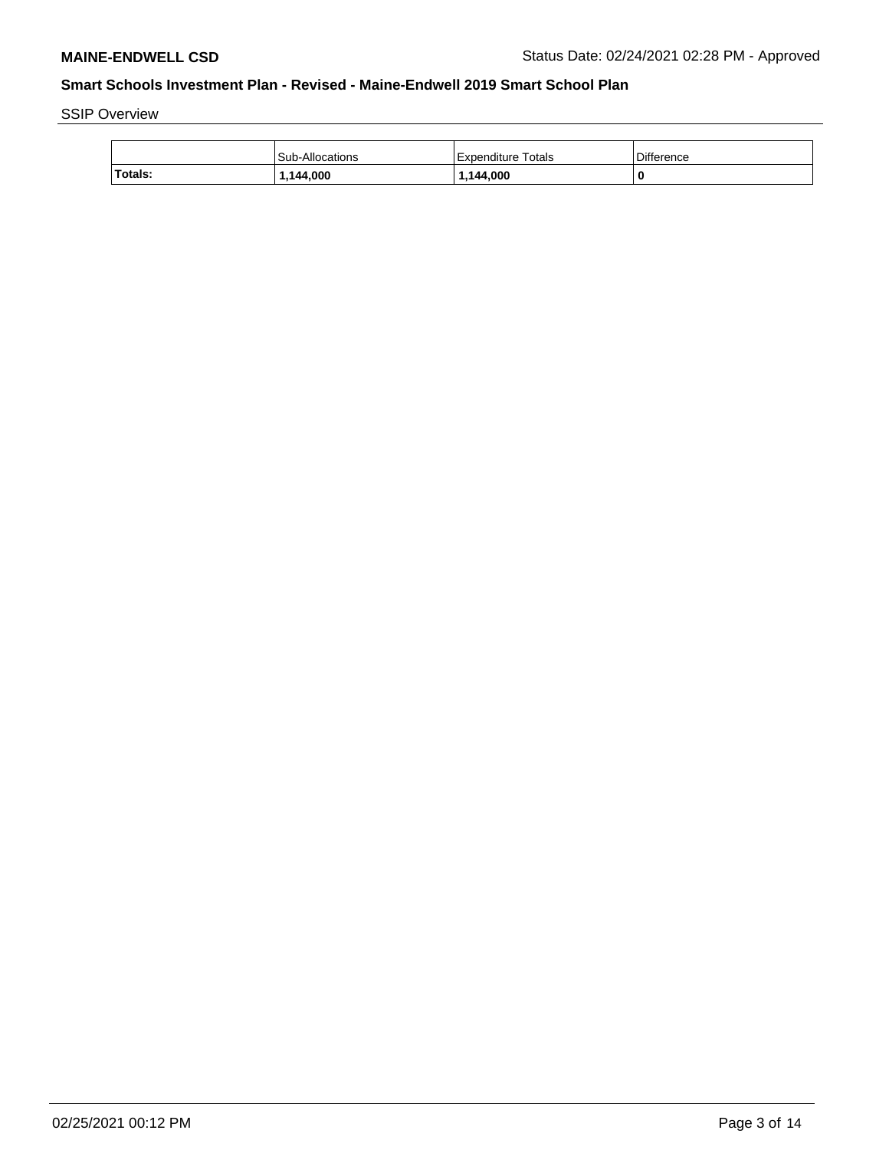SSIP Overview

|         | <b>Sub-Allocations</b> | Expenditure Totals | <b>Difference</b> |
|---------|------------------------|--------------------|-------------------|
| Totals: | 1.144.000              | 1.144.000          |                   |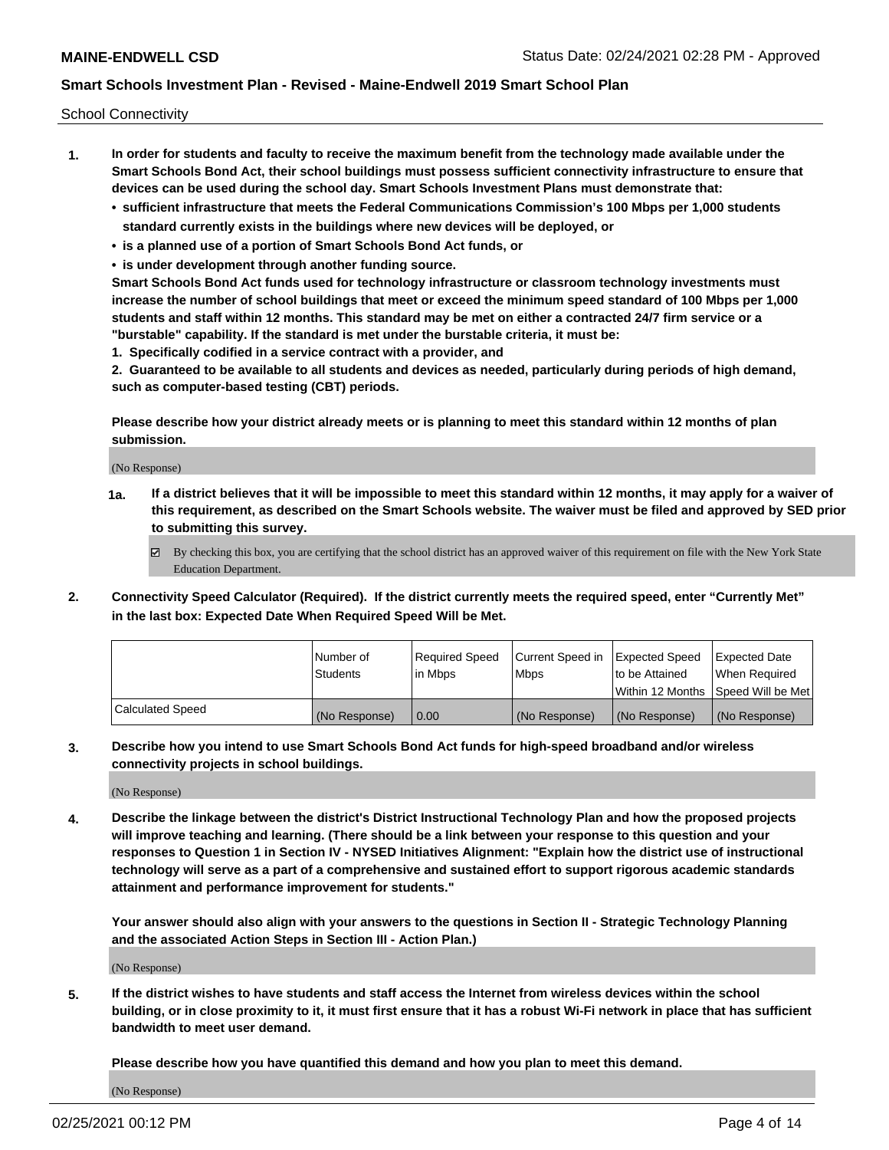School Connectivity

- **1. In order for students and faculty to receive the maximum benefit from the technology made available under the Smart Schools Bond Act, their school buildings must possess sufficient connectivity infrastructure to ensure that devices can be used during the school day. Smart Schools Investment Plans must demonstrate that:**
	- **• sufficient infrastructure that meets the Federal Communications Commission's 100 Mbps per 1,000 students standard currently exists in the buildings where new devices will be deployed, or**
	- **• is a planned use of a portion of Smart Schools Bond Act funds, or**
	- **• is under development through another funding source.**

**Smart Schools Bond Act funds used for technology infrastructure or classroom technology investments must increase the number of school buildings that meet or exceed the minimum speed standard of 100 Mbps per 1,000 students and staff within 12 months. This standard may be met on either a contracted 24/7 firm service or a "burstable" capability. If the standard is met under the burstable criteria, it must be:**

**1. Specifically codified in a service contract with a provider, and**

**2. Guaranteed to be available to all students and devices as needed, particularly during periods of high demand, such as computer-based testing (CBT) periods.**

**Please describe how your district already meets or is planning to meet this standard within 12 months of plan submission.**

(No Response)

**1a. If a district believes that it will be impossible to meet this standard within 12 months, it may apply for a waiver of this requirement, as described on the Smart Schools website. The waiver must be filed and approved by SED prior to submitting this survey.**

 $\boxtimes$  By checking this box, you are certifying that the school district has an approved waiver of this requirement on file with the New York State Education Department.

**2. Connectivity Speed Calculator (Required). If the district currently meets the required speed, enter "Currently Met" in the last box: Expected Date When Required Speed Will be Met.**

|                  | l Number of     | Required Speed | Current Speed in | Expected Speed  | Expected Date                           |
|------------------|-----------------|----------------|------------------|-----------------|-----------------------------------------|
|                  | <b>Students</b> | In Mbps        | l Mbps           | to be Attained  | When Required                           |
|                  |                 |                |                  |                 | l Within 12 Months ISpeed Will be Met l |
| Calculated Speed | (No Response)   | 0.00           | (No Response)    | l (No Response) | l (No Response)                         |

**3. Describe how you intend to use Smart Schools Bond Act funds for high-speed broadband and/or wireless connectivity projects in school buildings.**

(No Response)

**4. Describe the linkage between the district's District Instructional Technology Plan and how the proposed projects will improve teaching and learning. (There should be a link between your response to this question and your responses to Question 1 in Section IV - NYSED Initiatives Alignment: "Explain how the district use of instructional technology will serve as a part of a comprehensive and sustained effort to support rigorous academic standards attainment and performance improvement for students."** 

**Your answer should also align with your answers to the questions in Section II - Strategic Technology Planning and the associated Action Steps in Section III - Action Plan.)**

(No Response)

**5. If the district wishes to have students and staff access the Internet from wireless devices within the school building, or in close proximity to it, it must first ensure that it has a robust Wi-Fi network in place that has sufficient bandwidth to meet user demand.**

**Please describe how you have quantified this demand and how you plan to meet this demand.**

(No Response)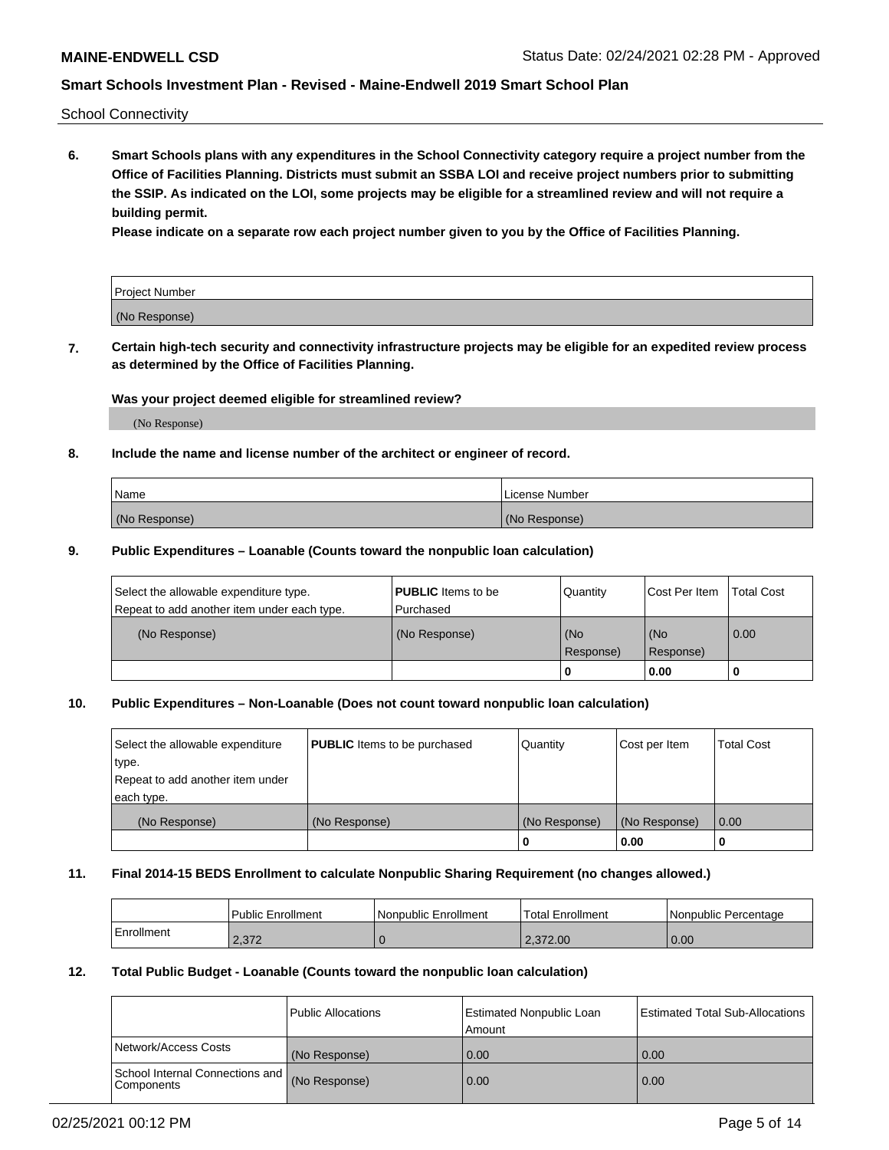School Connectivity

**6. Smart Schools plans with any expenditures in the School Connectivity category require a project number from the Office of Facilities Planning. Districts must submit an SSBA LOI and receive project numbers prior to submitting the SSIP. As indicated on the LOI, some projects may be eligible for a streamlined review and will not require a building permit.**

**Please indicate on a separate row each project number given to you by the Office of Facilities Planning.**

| Project Number |  |
|----------------|--|
| (No Response)  |  |

**7. Certain high-tech security and connectivity infrastructure projects may be eligible for an expedited review process as determined by the Office of Facilities Planning.**

### **Was your project deemed eligible for streamlined review?**

(No Response)

## **8. Include the name and license number of the architect or engineer of record.**

| Name          | License Number |
|---------------|----------------|
| (No Response) | (No Response)  |

## **9. Public Expenditures – Loanable (Counts toward the nonpublic loan calculation)**

| Select the allowable expenditure type.<br>Repeat to add another item under each type. | <b>PUBLIC</b> Items to be<br>l Purchased | Quantity           | Cost Per Item    | <b>Total Cost</b> |
|---------------------------------------------------------------------------------------|------------------------------------------|--------------------|------------------|-------------------|
| (No Response)                                                                         | (No Response)                            | l (No<br>Response) | (No<br>Response) | $\overline{0.00}$ |
|                                                                                       |                                          | O                  | 0.00             |                   |

## **10. Public Expenditures – Non-Loanable (Does not count toward nonpublic loan calculation)**

| Select the allowable expenditure<br>type.<br>Repeat to add another item under<br>each type. | <b>PUBLIC</b> Items to be purchased | Quantity      | Cost per Item | <b>Total Cost</b> |
|---------------------------------------------------------------------------------------------|-------------------------------------|---------------|---------------|-------------------|
| (No Response)                                                                               | (No Response)                       | (No Response) | (No Response) | 0.00              |
|                                                                                             |                                     |               | 0.00          |                   |

#### **11. Final 2014-15 BEDS Enrollment to calculate Nonpublic Sharing Requirement (no changes allowed.)**

|            | Public Enrollment | l Nonpublic Enrollment | <b>Total Enrollment</b> | Nonpublic Percentage |
|------------|-------------------|------------------------|-------------------------|----------------------|
| Enrollment | 2.372             |                        | 2.372.00                | 0.00                 |

#### **12. Total Public Budget - Loanable (Counts toward the nonpublic loan calculation)**

|                                                      | Public Allocations | <b>Estimated Nonpublic Loan</b><br>Amount | Estimated Total Sub-Allocations |
|------------------------------------------------------|--------------------|-------------------------------------------|---------------------------------|
| Network/Access Costs                                 | (No Response)      | 0.00                                      | 0.00                            |
| School Internal Connections and<br><b>Components</b> | (No Response)      | 0.00                                      | 0.00                            |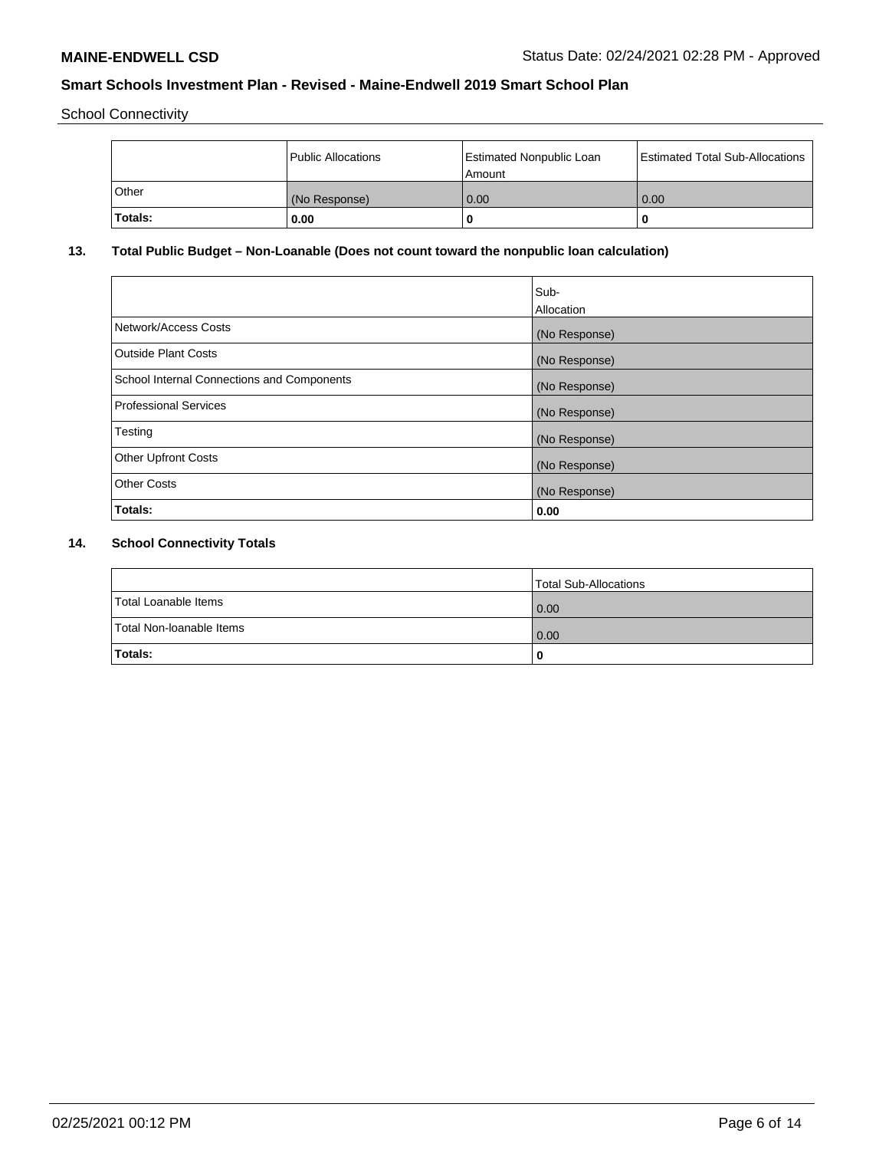School Connectivity

|              | <b>Public Allocations</b> | <b>Estimated Nonpublic Loan</b><br>l Amount | <b>Estimated Total Sub-Allocations</b> |
|--------------|---------------------------|---------------------------------------------|----------------------------------------|
| <b>Other</b> | (No Response)             | 0.00                                        | 0.00                                   |
| Totals:      | 0.00                      | 0                                           | ш                                      |

# **13. Total Public Budget – Non-Loanable (Does not count toward the nonpublic loan calculation)**

|                                                   | Sub-<br>Allocation |
|---------------------------------------------------|--------------------|
|                                                   |                    |
| Network/Access Costs                              | (No Response)      |
| <b>Outside Plant Costs</b>                        | (No Response)      |
| <b>School Internal Connections and Components</b> | (No Response)      |
| Professional Services                             | (No Response)      |
| Testing                                           | (No Response)      |
| <b>Other Upfront Costs</b>                        | (No Response)      |
| <b>Other Costs</b>                                | (No Response)      |
| <b>Totals:</b>                                    | 0.00               |

# **14. School Connectivity Totals**

|                          | Total Sub-Allocations |
|--------------------------|-----------------------|
| Total Loanable Items     | 0.00                  |
| Total Non-Ioanable Items | 0.00                  |
| Totals:                  | 0                     |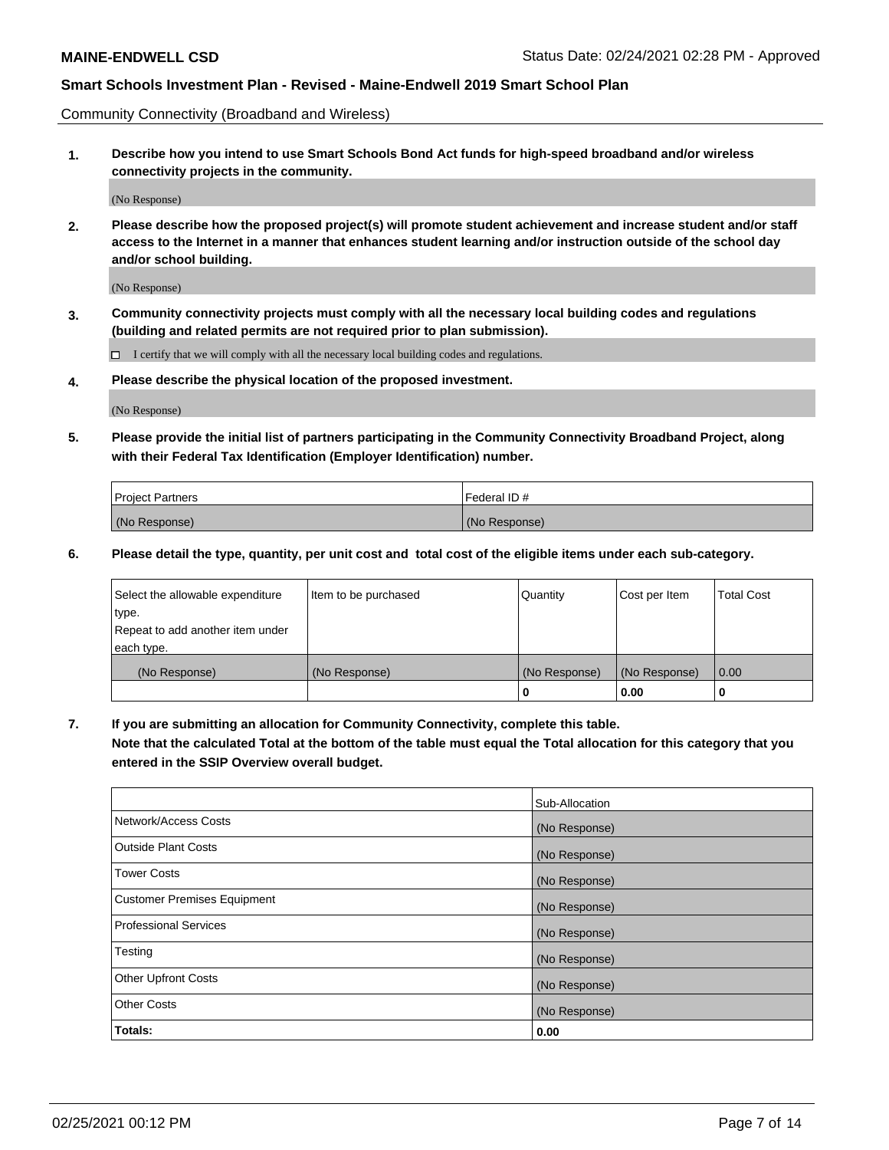Community Connectivity (Broadband and Wireless)

**1. Describe how you intend to use Smart Schools Bond Act funds for high-speed broadband and/or wireless connectivity projects in the community.**

(No Response)

**2. Please describe how the proposed project(s) will promote student achievement and increase student and/or staff access to the Internet in a manner that enhances student learning and/or instruction outside of the school day and/or school building.**

(No Response)

**3. Community connectivity projects must comply with all the necessary local building codes and regulations (building and related permits are not required prior to plan submission).**

 $\Box$  I certify that we will comply with all the necessary local building codes and regulations.

**4. Please describe the physical location of the proposed investment.**

(No Response)

**5. Please provide the initial list of partners participating in the Community Connectivity Broadband Project, along with their Federal Tax Identification (Employer Identification) number.**

| <b>Project Partners</b> | Federal ID#   |
|-------------------------|---------------|
| (No Response)           | (No Response) |

**6. Please detail the type, quantity, per unit cost and total cost of the eligible items under each sub-category.**

| Select the allowable expenditure | Item to be purchased | Quantity      | Cost per Item | <b>Total Cost</b> |
|----------------------------------|----------------------|---------------|---------------|-------------------|
| type.                            |                      |               |               |                   |
| Repeat to add another item under |                      |               |               |                   |
| each type.                       |                      |               |               |                   |
| (No Response)                    | (No Response)        | (No Response) | (No Response) | 0.00              |
|                                  |                      | o             | 0.00          |                   |

**7. If you are submitting an allocation for Community Connectivity, complete this table.**

**Note that the calculated Total at the bottom of the table must equal the Total allocation for this category that you entered in the SSIP Overview overall budget.**

|                                    | Sub-Allocation |
|------------------------------------|----------------|
| Network/Access Costs               | (No Response)  |
| Outside Plant Costs                | (No Response)  |
| <b>Tower Costs</b>                 | (No Response)  |
| <b>Customer Premises Equipment</b> | (No Response)  |
| <b>Professional Services</b>       | (No Response)  |
| Testing                            | (No Response)  |
| <b>Other Upfront Costs</b>         | (No Response)  |
| <b>Other Costs</b>                 | (No Response)  |
| Totals:                            | 0.00           |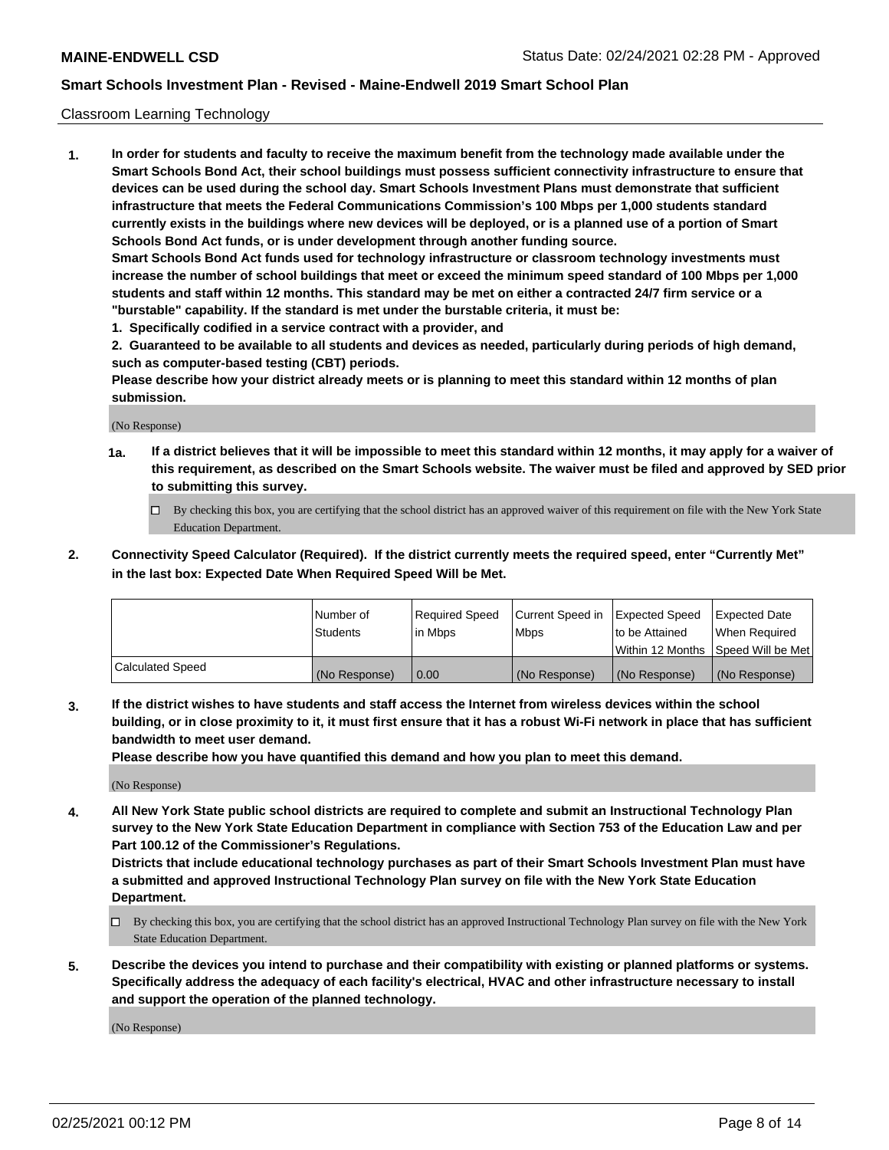## Classroom Learning Technology

**1. In order for students and faculty to receive the maximum benefit from the technology made available under the Smart Schools Bond Act, their school buildings must possess sufficient connectivity infrastructure to ensure that devices can be used during the school day. Smart Schools Investment Plans must demonstrate that sufficient infrastructure that meets the Federal Communications Commission's 100 Mbps per 1,000 students standard currently exists in the buildings where new devices will be deployed, or is a planned use of a portion of Smart Schools Bond Act funds, or is under development through another funding source. Smart Schools Bond Act funds used for technology infrastructure or classroom technology investments must increase the number of school buildings that meet or exceed the minimum speed standard of 100 Mbps per 1,000 students and staff within 12 months. This standard may be met on either a contracted 24/7 firm service or a**

- **"burstable" capability. If the standard is met under the burstable criteria, it must be:**
- **1. Specifically codified in a service contract with a provider, and**

**2. Guaranteed to be available to all students and devices as needed, particularly during periods of high demand, such as computer-based testing (CBT) periods.**

**Please describe how your district already meets or is planning to meet this standard within 12 months of plan submission.**

(No Response)

- **1a. If a district believes that it will be impossible to meet this standard within 12 months, it may apply for a waiver of this requirement, as described on the Smart Schools website. The waiver must be filed and approved by SED prior to submitting this survey.**
	- By checking this box, you are certifying that the school district has an approved waiver of this requirement on file with the New York State Education Department.
- **2. Connectivity Speed Calculator (Required). If the district currently meets the required speed, enter "Currently Met" in the last box: Expected Date When Required Speed Will be Met.**

|                         | Number of     | Required Speed | Current Speed in | Expected Speed | <b>Expected Date</b>                 |
|-------------------------|---------------|----------------|------------------|----------------|--------------------------------------|
|                         | Students      | l in Mbps      | <b>Mbps</b>      | to be Attained | When Reauired                        |
|                         |               |                |                  |                | Within 12 Months 1Speed Will be Met1 |
| <b>Calculated Speed</b> | (No Response) | 0.00           | (No Response)    | (No Response)  | (No Response)                        |

**3. If the district wishes to have students and staff access the Internet from wireless devices within the school building, or in close proximity to it, it must first ensure that it has a robust Wi-Fi network in place that has sufficient bandwidth to meet user demand.**

**Please describe how you have quantified this demand and how you plan to meet this demand.**

(No Response)

**4. All New York State public school districts are required to complete and submit an Instructional Technology Plan survey to the New York State Education Department in compliance with Section 753 of the Education Law and per Part 100.12 of the Commissioner's Regulations.**

**Districts that include educational technology purchases as part of their Smart Schools Investment Plan must have a submitted and approved Instructional Technology Plan survey on file with the New York State Education Department.**

- By checking this box, you are certifying that the school district has an approved Instructional Technology Plan survey on file with the New York State Education Department.
- **5. Describe the devices you intend to purchase and their compatibility with existing or planned platforms or systems. Specifically address the adequacy of each facility's electrical, HVAC and other infrastructure necessary to install and support the operation of the planned technology.**

(No Response)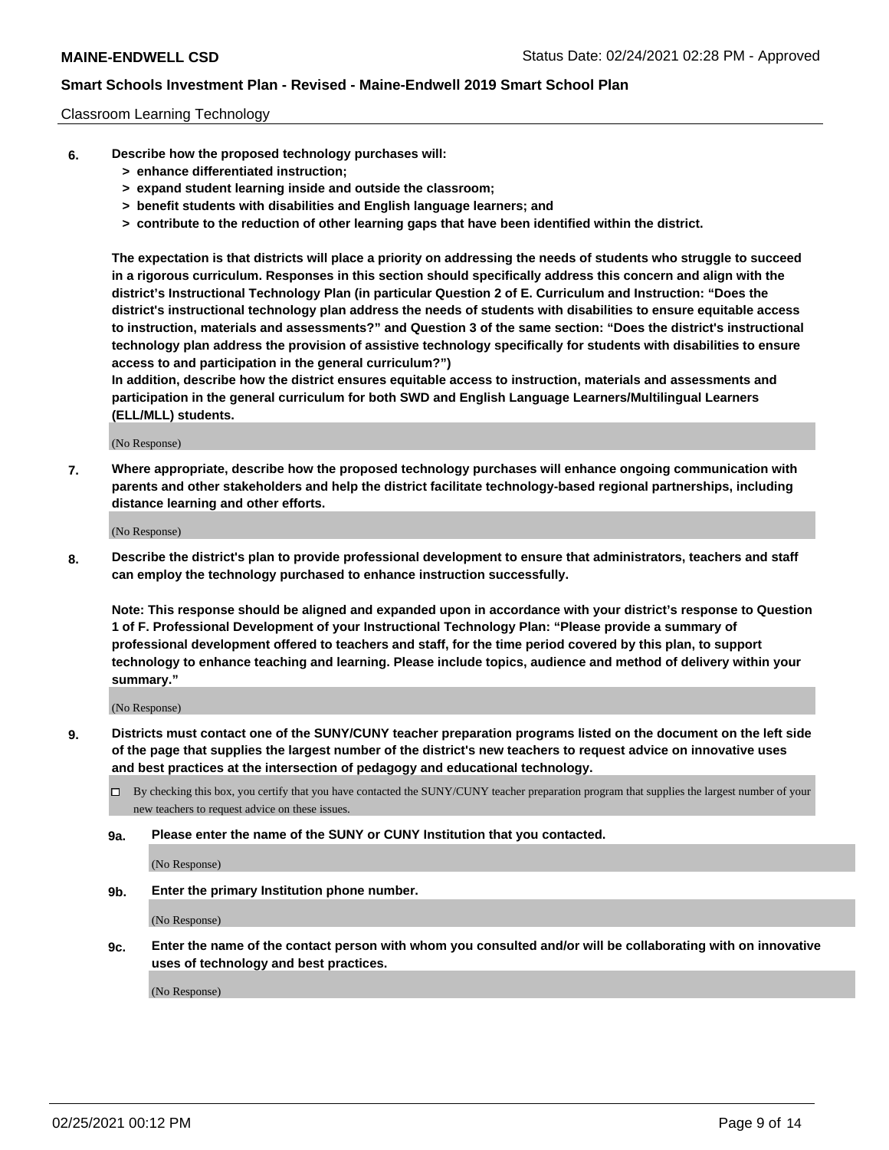## Classroom Learning Technology

- **6. Describe how the proposed technology purchases will:**
	- **> enhance differentiated instruction;**
	- **> expand student learning inside and outside the classroom;**
	- **> benefit students with disabilities and English language learners; and**
	- **> contribute to the reduction of other learning gaps that have been identified within the district.**

**The expectation is that districts will place a priority on addressing the needs of students who struggle to succeed in a rigorous curriculum. Responses in this section should specifically address this concern and align with the district's Instructional Technology Plan (in particular Question 2 of E. Curriculum and Instruction: "Does the district's instructional technology plan address the needs of students with disabilities to ensure equitable access to instruction, materials and assessments?" and Question 3 of the same section: "Does the district's instructional technology plan address the provision of assistive technology specifically for students with disabilities to ensure access to and participation in the general curriculum?")**

**In addition, describe how the district ensures equitable access to instruction, materials and assessments and participation in the general curriculum for both SWD and English Language Learners/Multilingual Learners (ELL/MLL) students.**

(No Response)

**7. Where appropriate, describe how the proposed technology purchases will enhance ongoing communication with parents and other stakeholders and help the district facilitate technology-based regional partnerships, including distance learning and other efforts.**

(No Response)

**8. Describe the district's plan to provide professional development to ensure that administrators, teachers and staff can employ the technology purchased to enhance instruction successfully.**

**Note: This response should be aligned and expanded upon in accordance with your district's response to Question 1 of F. Professional Development of your Instructional Technology Plan: "Please provide a summary of professional development offered to teachers and staff, for the time period covered by this plan, to support technology to enhance teaching and learning. Please include topics, audience and method of delivery within your summary."**

(No Response)

- **9. Districts must contact one of the SUNY/CUNY teacher preparation programs listed on the document on the left side of the page that supplies the largest number of the district's new teachers to request advice on innovative uses and best practices at the intersection of pedagogy and educational technology.**
	- By checking this box, you certify that you have contacted the SUNY/CUNY teacher preparation program that supplies the largest number of your new teachers to request advice on these issues.
	- **9a. Please enter the name of the SUNY or CUNY Institution that you contacted.**

(No Response)

**9b. Enter the primary Institution phone number.**

(No Response)

**9c. Enter the name of the contact person with whom you consulted and/or will be collaborating with on innovative uses of technology and best practices.**

(No Response)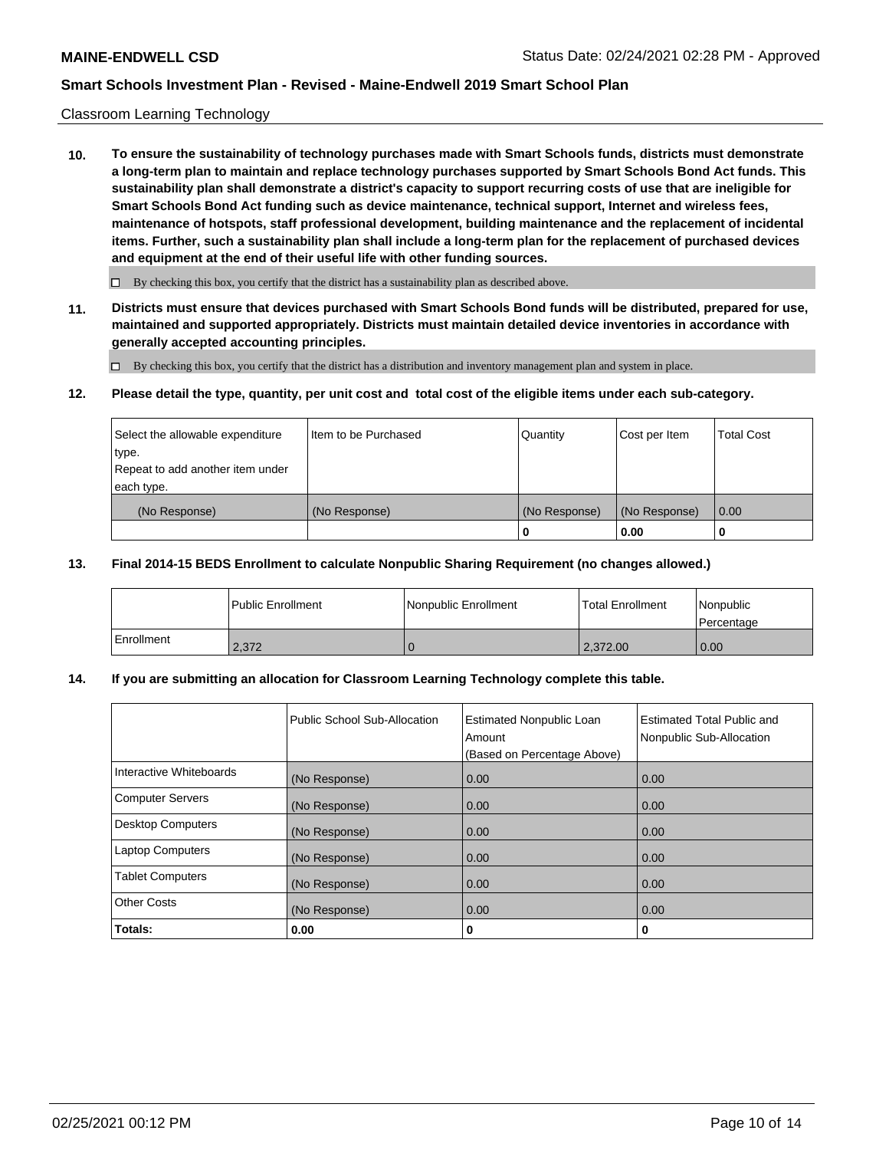## Classroom Learning Technology

**10. To ensure the sustainability of technology purchases made with Smart Schools funds, districts must demonstrate a long-term plan to maintain and replace technology purchases supported by Smart Schools Bond Act funds. This sustainability plan shall demonstrate a district's capacity to support recurring costs of use that are ineligible for Smart Schools Bond Act funding such as device maintenance, technical support, Internet and wireless fees, maintenance of hotspots, staff professional development, building maintenance and the replacement of incidental items. Further, such a sustainability plan shall include a long-term plan for the replacement of purchased devices and equipment at the end of their useful life with other funding sources.**

 $\Box$  By checking this box, you certify that the district has a sustainability plan as described above.

**11. Districts must ensure that devices purchased with Smart Schools Bond funds will be distributed, prepared for use, maintained and supported appropriately. Districts must maintain detailed device inventories in accordance with generally accepted accounting principles.**

By checking this box, you certify that the district has a distribution and inventory management plan and system in place.

#### **12. Please detail the type, quantity, per unit cost and total cost of the eligible items under each sub-category.**

| Select the allowable expenditure<br>type.<br>Repeat to add another item under | Item to be Purchased | Quantity      | Cost per Item | <b>Total Cost</b> |
|-------------------------------------------------------------------------------|----------------------|---------------|---------------|-------------------|
| each type.<br>(No Response)                                                   | (No Response)        | (No Response) | (No Response) | 0.00              |
|                                                                               |                      | 0             | 0.00          |                   |

### **13. Final 2014-15 BEDS Enrollment to calculate Nonpublic Sharing Requirement (no changes allowed.)**

|            | l Public Enrollment | <b>INonpublic Enrollment</b> | <b>Total Enrollment</b> | Nonpublic<br>l Percentage |
|------------|---------------------|------------------------------|-------------------------|---------------------------|
| Enrollment | 2.372               |                              | 2.372.00                | 0.00                      |

## **14. If you are submitting an allocation for Classroom Learning Technology complete this table.**

|                         | Public School Sub-Allocation | <b>Estimated Nonpublic Loan</b><br>Amount<br>(Based on Percentage Above) | Estimated Total Public and<br>Nonpublic Sub-Allocation |
|-------------------------|------------------------------|--------------------------------------------------------------------------|--------------------------------------------------------|
| Interactive Whiteboards | (No Response)                | 0.00                                                                     | 0.00                                                   |
| Computer Servers        | (No Response)                | 0.00                                                                     | 0.00                                                   |
| Desktop Computers       | (No Response)                | 0.00                                                                     | 0.00                                                   |
| <b>Laptop Computers</b> | (No Response)                | 0.00                                                                     | 0.00                                                   |
| <b>Tablet Computers</b> | (No Response)                | 0.00                                                                     | 0.00                                                   |
| Other Costs             | (No Response)                | 0.00                                                                     | 0.00                                                   |
| Totals:                 | 0.00                         | 0                                                                        | 0                                                      |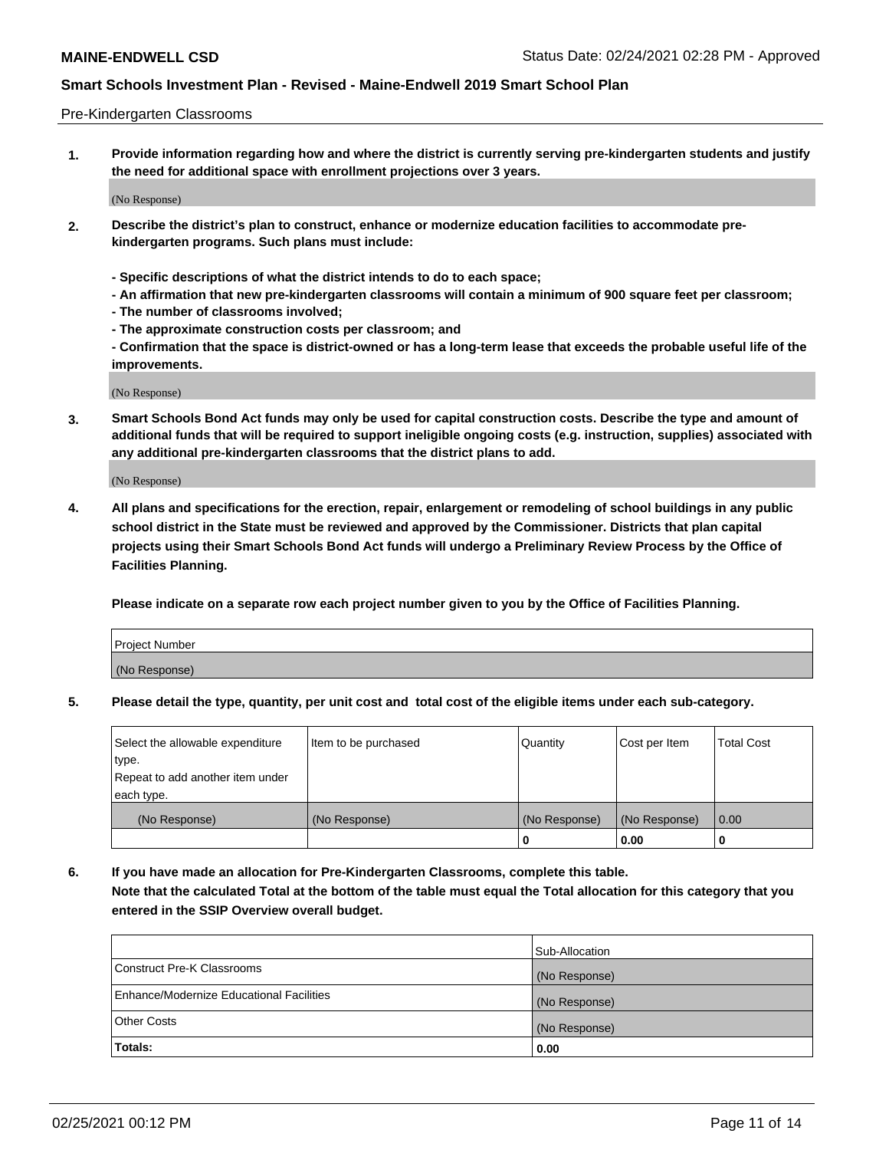## Pre-Kindergarten Classrooms

**1. Provide information regarding how and where the district is currently serving pre-kindergarten students and justify the need for additional space with enrollment projections over 3 years.**

(No Response)

- **2. Describe the district's plan to construct, enhance or modernize education facilities to accommodate prekindergarten programs. Such plans must include:**
	- **Specific descriptions of what the district intends to do to each space;**
	- **An affirmation that new pre-kindergarten classrooms will contain a minimum of 900 square feet per classroom;**
	- **The number of classrooms involved;**
	- **The approximate construction costs per classroom; and**
	- **Confirmation that the space is district-owned or has a long-term lease that exceeds the probable useful life of the improvements.**

(No Response)

**3. Smart Schools Bond Act funds may only be used for capital construction costs. Describe the type and amount of additional funds that will be required to support ineligible ongoing costs (e.g. instruction, supplies) associated with any additional pre-kindergarten classrooms that the district plans to add.**

(No Response)

**4. All plans and specifications for the erection, repair, enlargement or remodeling of school buildings in any public school district in the State must be reviewed and approved by the Commissioner. Districts that plan capital projects using their Smart Schools Bond Act funds will undergo a Preliminary Review Process by the Office of Facilities Planning.**

**Please indicate on a separate row each project number given to you by the Office of Facilities Planning.**

| Project Number |  |
|----------------|--|
| (No Response)  |  |
|                |  |

**5. Please detail the type, quantity, per unit cost and total cost of the eligible items under each sub-category.**

| Select the allowable expenditure | Item to be purchased | Quantity      | Cost per Item | <b>Total Cost</b> |
|----------------------------------|----------------------|---------------|---------------|-------------------|
| type.                            |                      |               |               |                   |
| Repeat to add another item under |                      |               |               |                   |
| each type.                       |                      |               |               |                   |
| (No Response)                    | (No Response)        | (No Response) | (No Response) | 0.00              |
|                                  |                      | U             | 0.00          |                   |

**6. If you have made an allocation for Pre-Kindergarten Classrooms, complete this table. Note that the calculated Total at the bottom of the table must equal the Total allocation for this category that you entered in the SSIP Overview overall budget.**

|                                          | Sub-Allocation |
|------------------------------------------|----------------|
| Construct Pre-K Classrooms               | (No Response)  |
| Enhance/Modernize Educational Facilities | (No Response)  |
| <b>Other Costs</b>                       | (No Response)  |
| Totals:                                  | 0.00           |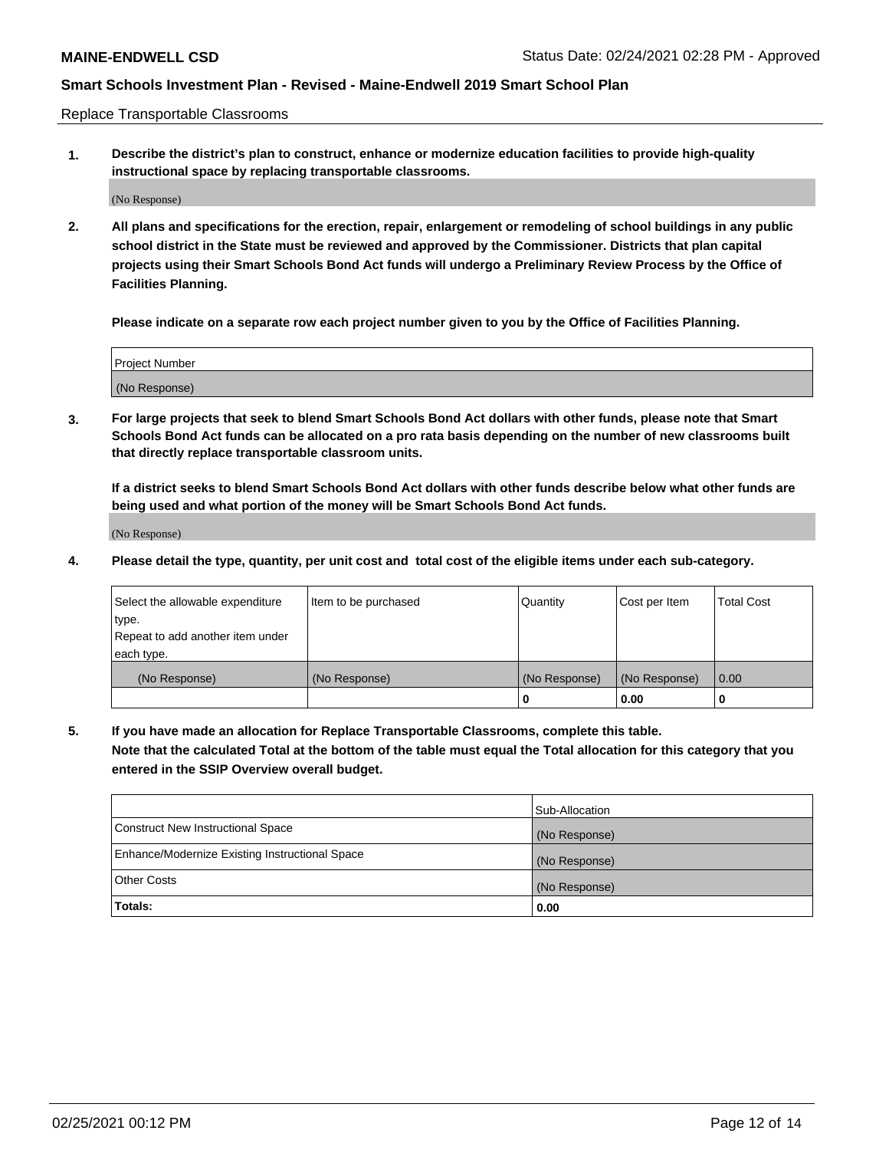Replace Transportable Classrooms

**1. Describe the district's plan to construct, enhance or modernize education facilities to provide high-quality instructional space by replacing transportable classrooms.**

(No Response)

**2. All plans and specifications for the erection, repair, enlargement or remodeling of school buildings in any public school district in the State must be reviewed and approved by the Commissioner. Districts that plan capital projects using their Smart Schools Bond Act funds will undergo a Preliminary Review Process by the Office of Facilities Planning.**

**Please indicate on a separate row each project number given to you by the Office of Facilities Planning.**

| Project Number |  |
|----------------|--|
|                |  |
|                |  |
|                |  |
| (No Response)  |  |
|                |  |
|                |  |

**3. For large projects that seek to blend Smart Schools Bond Act dollars with other funds, please note that Smart Schools Bond Act funds can be allocated on a pro rata basis depending on the number of new classrooms built that directly replace transportable classroom units.**

**If a district seeks to blend Smart Schools Bond Act dollars with other funds describe below what other funds are being used and what portion of the money will be Smart Schools Bond Act funds.**

(No Response)

**4. Please detail the type, quantity, per unit cost and total cost of the eligible items under each sub-category.**

| Select the allowable expenditure | Item to be purchased | Quantity      | Cost per Item | Total Cost |
|----------------------------------|----------------------|---------------|---------------|------------|
| ∣type.                           |                      |               |               |            |
| Repeat to add another item under |                      |               |               |            |
| each type.                       |                      |               |               |            |
| (No Response)                    | (No Response)        | (No Response) | (No Response) | 0.00       |
|                                  |                      | u             | 0.00          |            |

**5. If you have made an allocation for Replace Transportable Classrooms, complete this table. Note that the calculated Total at the bottom of the table must equal the Total allocation for this category that you entered in the SSIP Overview overall budget.**

|                                                | Sub-Allocation |
|------------------------------------------------|----------------|
| Construct New Instructional Space              | (No Response)  |
| Enhance/Modernize Existing Instructional Space | (No Response)  |
| <b>Other Costs</b>                             | (No Response)  |
| Totals:                                        | 0.00           |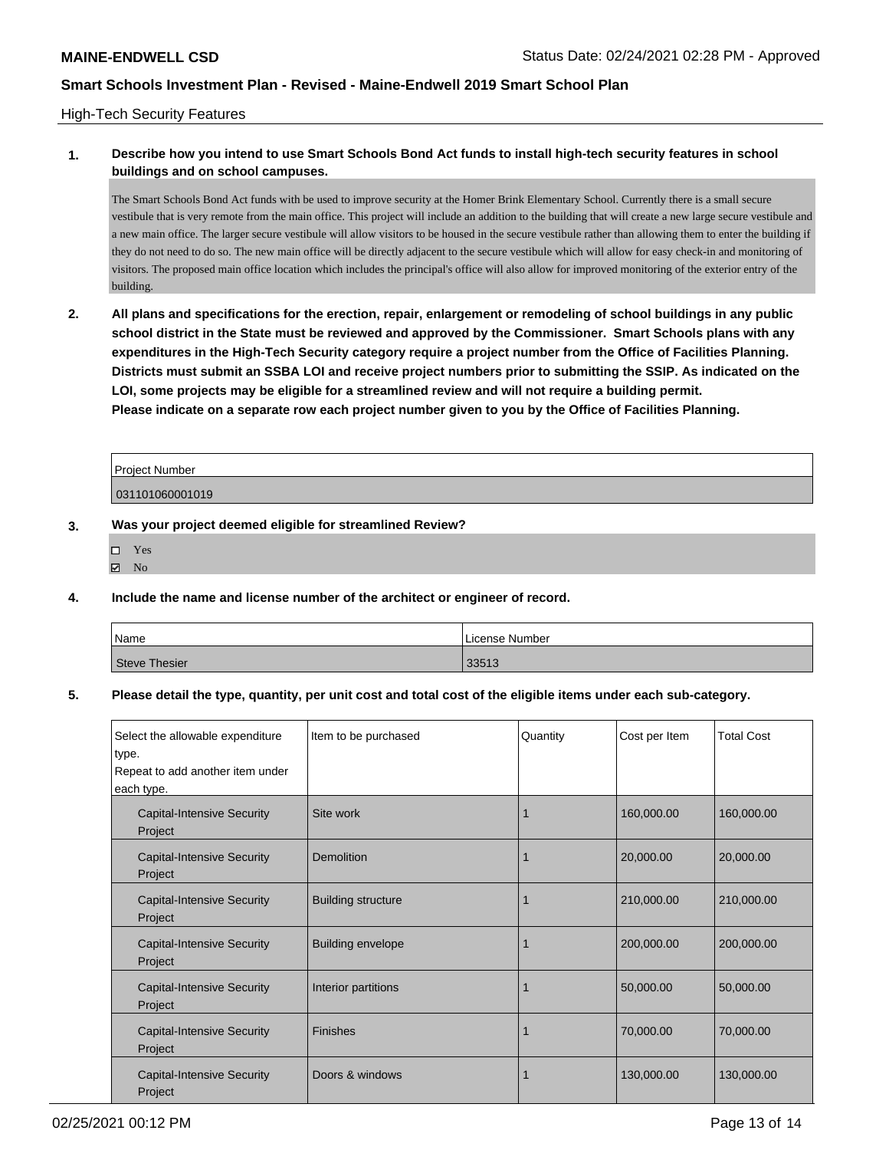## High-Tech Security Features

## **1. Describe how you intend to use Smart Schools Bond Act funds to install high-tech security features in school buildings and on school campuses.**

The Smart Schools Bond Act funds with be used to improve security at the Homer Brink Elementary School. Currently there is a small secure vestibule that is very remote from the main office. This project will include an addition to the building that will create a new large secure vestibule and a new main office. The larger secure vestibule will allow visitors to be housed in the secure vestibule rather than allowing them to enter the building if they do not need to do so. The new main office will be directly adjacent to the secure vestibule which will allow for easy check-in and monitoring of visitors. The proposed main office location which includes the principal's office will also allow for improved monitoring of the exterior entry of the building.

**2. All plans and specifications for the erection, repair, enlargement or remodeling of school buildings in any public school district in the State must be reviewed and approved by the Commissioner. Smart Schools plans with any expenditures in the High-Tech Security category require a project number from the Office of Facilities Planning. Districts must submit an SSBA LOI and receive project numbers prior to submitting the SSIP. As indicated on the LOI, some projects may be eligible for a streamlined review and will not require a building permit. Please indicate on a separate row each project number given to you by the Office of Facilities Planning.**

| <b>Project Number</b> |  |
|-----------------------|--|
| 031101060001019       |  |

## **3. Was your project deemed eligible for streamlined Review?**

- Yes
- $\boxtimes$  No

## **4. Include the name and license number of the architect or engineer of record.**

| Name                 | License Number |
|----------------------|----------------|
| <b>Steve Thesier</b> | 33513          |

#### **5. Please detail the type, quantity, per unit cost and total cost of the eligible items under each sub-category.**

| Select the allowable expenditure<br>type.<br>Repeat to add another item under<br>each type. | Item to be purchased      | Quantity | Cost per Item | <b>Total Cost</b> |
|---------------------------------------------------------------------------------------------|---------------------------|----------|---------------|-------------------|
| <b>Capital-Intensive Security</b><br>Project                                                | Site work                 |          | 160,000.00    | 160,000.00        |
| <b>Capital-Intensive Security</b><br>Project                                                | Demolition                |          | 20,000.00     | 20,000.00         |
| <b>Capital-Intensive Security</b><br>Project                                                | <b>Building structure</b> |          | 210,000.00    | 210,000.00        |
| <b>Capital-Intensive Security</b><br>Project                                                | <b>Building envelope</b>  |          | 200,000.00    | 200,000.00        |
| <b>Capital-Intensive Security</b><br>Project                                                | Interior partitions       |          | 50,000.00     | 50,000.00         |
| <b>Capital-Intensive Security</b><br>Project                                                | Finishes                  |          | 70,000.00     | 70,000.00         |
| <b>Capital-Intensive Security</b><br>Project                                                | Doors & windows           |          | 130,000.00    | 130,000.00        |